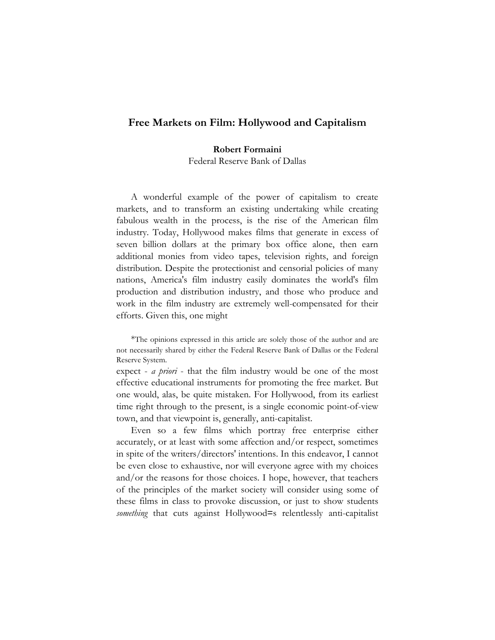# **Free Markets on Film: Hollywood and Capitalism**

#### **Robert Formaini**

Federal Reserve Bank of Dallas

A wonderful example of the power of capitalism to create markets, and to transform an existing undertaking while creating fabulous wealth in the process, is the rise of the American film industry. Today, Hollywood makes films that generate in excess of seven billion dollars at the primary box office alone, then earn additional monies from video tapes, television rights, and foreign distribution. Despite the protectionist and censorial policies of many nations, America's film industry easily dominates the world's film production and distribution industry, and those who produce and work in the film industry are extremely well-compensated for their efforts. Given this, one might

\*The opinions expressed in this article are solely those of the author and are not necessarily shared by either the Federal Reserve Bank of Dallas or the Federal Reserve System.

expect - *a priori* - that the film industry would be one of the most effective educational instruments for promoting the free market. But one would, alas, be quite mistaken. For Hollywood, from its earliest time right through to the present, is a single economic point-of-view town, and that viewpoint is, generally, anti-capitalist.

Even so a few films which portray free enterprise either accurately, or at least with some affection and/or respect, sometimes in spite of the writers/directors' intentions. In this endeavor, I cannot be even close to exhaustive, nor will everyone agree with my choices and/or the reasons for those choices. I hope, however, that teachers of the principles of the market society will consider using some of these films in class to provoke discussion, or just to show students *something* that cuts against Hollywood=s relentlessly anti-capitalist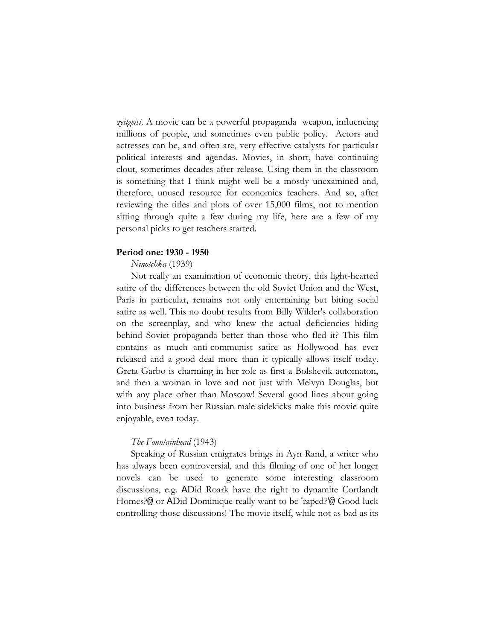*zeitgeist*. A movie can be a powerful propaganda weapon, influencing millions of people, and sometimes even public policy. Actors and actresses can be, and often are, very effective catalysts for particular political interests and agendas. Movies, in short, have continuing clout, sometimes decades after release. Using them in the classroom is something that I think might well be a mostly unexamined and, therefore, unused resource for economics teachers. And so, after reviewing the titles and plots of over 15,000 films, not to mention sitting through quite a few during my life, here are a few of my personal picks to get teachers started.

## **Period one: 1930 - 1950**

#### *Ninotchka* (1939)

Not really an examination of economic theory, this light-hearted satire of the differences between the old Soviet Union and the West, Paris in particular, remains not only entertaining but biting social satire as well. This no doubt results from Billy Wilder's collaboration on the screenplay, and who knew the actual deficiencies hiding behind Soviet propaganda better than those who fled it? This film contains as much anti-communist satire as Hollywood has ever released and a good deal more than it typically allows itself today. Greta Garbo is charming in her role as first a Bolshevik automaton, and then a woman in love and not just with Melvyn Douglas, but with any place other than Moscow! Several good lines about going into business from her Russian male sidekicks make this movie quite enjoyable, even today.

#### *The Fountainhead* (1943)

Speaking of Russian emigrates brings in Ayn Rand, a writer who has always been controversial, and this filming of one of her longer novels can be used to generate some interesting classroom discussions, e.g. ADid Roark have the right to dynamite Cortlandt Homes?@ or ADid Dominique really want to be 'raped?'@ Good luck controlling those discussions! The movie itself, while not as bad as its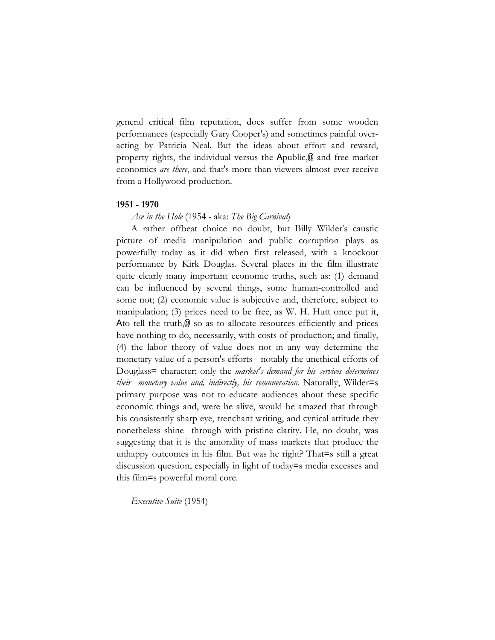general critical film reputation, does suffer from some wooden performances (especially Gary Cooper's) and sometimes painful overacting by Patricia Neal. But the ideas about effort and reward, property rights, the individual versus the Apublic,@ and free market economics *are there*, and that's more than viewers almost ever receive from a Hollywood production.

# **1951 - 1970**

*Ace in the Hole* (1954 - aka: *The Big Carnival*)

A rather offbeat choice no doubt, but Billy Wilder's caustic picture of media manipulation and public corruption plays as powerfully today as it did when first released, with a knockout performance by Kirk Douglas. Several places in the film illustrate quite clearly many important economic truths, such as: (1) demand can be influenced by several things, some human-controlled and some not; (2) economic value is subjective and, therefore, subject to manipulation; (3) prices need to be free, as W. H. Hutt once put it, Ato tell the truth,@ so as to allocate resources efficiently and prices have nothing to do, necessarily, with costs of production; and finally, (4) the labor theory of value does not in any way determine the monetary value of a person's efforts - notably the unethical efforts of Douglass= character; only the *market's demand for his services determines their monetary value and, indirectly, his remuneration.* Naturally, Wilder=s primary purpose was not to educate audiences about these specific economic things and, were he alive, would be amazed that through his consistently sharp eye, trenchant writing, and cynical attitude they nonetheless shine through with pristine clarity. He, no doubt, was suggesting that it is the amorality of mass markets that produce the unhappy outcomes in his film. But was he right? That=s still a great discussion question, especially in light of today=s media excesses and this film=s powerful moral core.

*Executive Suite* (1954)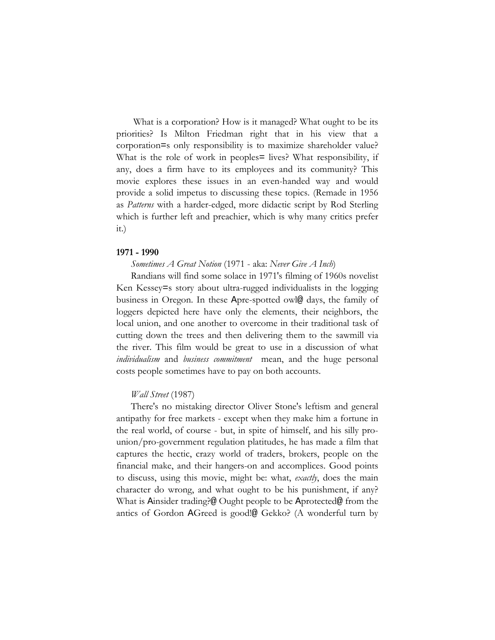What is a corporation? How is it managed? What ought to be its priorities? Is Milton Friedman right that in his view that a corporation=s only responsibility is to maximize shareholder value? What is the role of work in peoples= lives? What responsibility, if any, does a firm have to its employees and its community? This movie explores these issues in an even-handed way and would provide a solid impetus to discussing these topics. (Remade in 1956 as *Patterns* with a harder-edged, more didactic script by Rod Sterling which is further left and preachier, which is why many critics prefer it.)

## **1971 - 1990**

*Sometimes A Great Notion* (1971 - aka: *Never Give A Inch*)

Randians will find some solace in 1971's filming of 1960s novelist Ken Kessey=s story about ultra-rugged individualists in the logging business in Oregon. In these Apre-spotted owl@ days, the family of loggers depicted here have only the elements, their neighbors, the local union, and one another to overcome in their traditional task of cutting down the trees and then delivering them to the sawmill via the river. This film would be great to use in a discussion of what *individualism* and *business commitment* mean, and the huge personal costs people sometimes have to pay on both accounts.

# *Wall Street* (1987)

There's no mistaking director Oliver Stone's leftism and general antipathy for free markets - except when they make him a fortune in the real world, of course - but, in spite of himself, and his silly prounion/pro-government regulation platitudes, he has made a film that captures the hectic, crazy world of traders, brokers, people on the financial make, and their hangers-on and accomplices. Good points to discuss, using this movie, might be: what, *exactly*, does the main character do wrong, and what ought to be his punishment, if any? What is Ainsider trading?@ Ought people to be Aprotected@ from the antics of Gordon AGreed is good!@ Gekko? (A wonderful turn by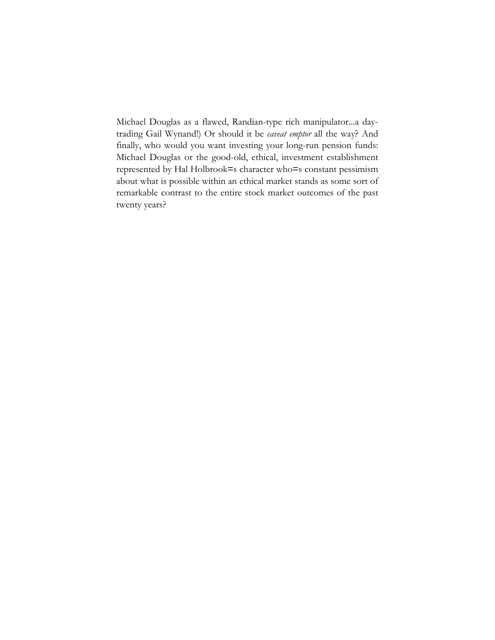Michael Douglas as a flawed, Randian-type rich manipulator...a daytrading Gail Wynand!) Or should it be *caveat emptor* all the way? And finally, who would you want investing your long-run pension funds: Michael Douglas or the good-old, ethical, investment establishment represented by Hal Holbrook=s character who=s constant pessimism about what is possible within an ethical market stands as some sort of remarkable contrast to the entire stock market outcomes of the past twenty years?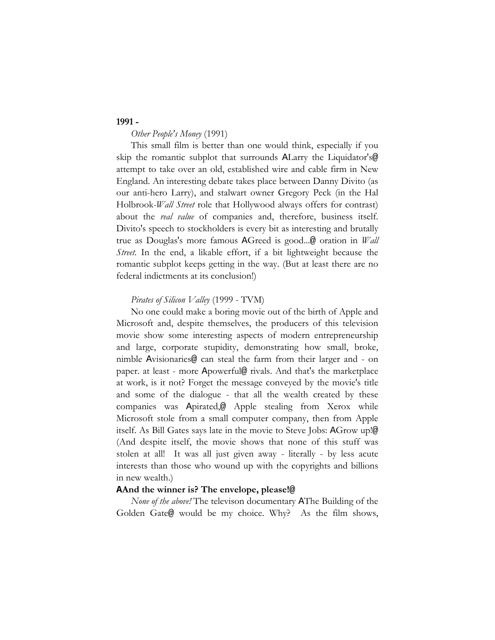## **1991 -**

## *Other People's Money* (1991)

This small film is better than one would think, especially if you skip the romantic subplot that surrounds ALarry the Liquidator's@ attempt to take over an old, established wire and cable firm in New England. An interesting debate takes place between Danny Divito (as our anti-hero Larry), and stalwart owner Gregory Peck (in the Hal Holbrook*-Wall Street* role that Hollywood always offers for contrast) about the *real value* of companies and, therefore, business itself. Divito's speech to stockholders is every bit as interesting and brutally true as Douglas's more famous AGreed is good...@ oration in *Wall Street*. In the end, a likable effort, if a bit lightweight because the romantic subplot keeps getting in the way. (But at least there are no federal indictments at its conclusion!)

## *Pirates of Silicon Valley* (1999 - TVM)

No one could make a boring movie out of the birth of Apple and Microsoft and, despite themselves, the producers of this television movie show some interesting aspects of modern entrepreneurship and large, corporate stupidity, demonstrating how small, broke, nimble Avisionaries@ can steal the farm from their larger and - on paper. at least - more Apowerful@ rivals. And that's the marketplace at work, is it not? Forget the message conveyed by the movie's title and some of the dialogue - that all the wealth created by these companies was Apirated,@ Apple stealing from Xerox while Microsoft stole from a small computer company, then from Apple itself. As Bill Gates says late in the movie to Steve Jobs: AGrow up!@ (And despite itself, the movie shows that none of this stuff was stolen at all! It was all just given away - literally - by less acute interests than those who wound up with the copyrights and billions in new wealth.)

### **AAnd the winner is? The envelope, please!@**

*None of the above!* The televison documentary AThe Building of the Golden Gate@ would be my choice. Why? As the film shows,